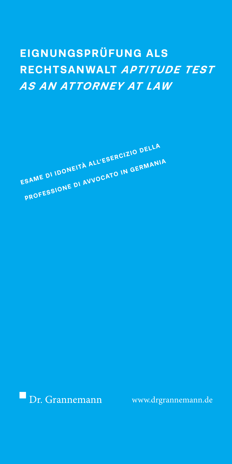# **EIGNUNGSPRÜFUNG ALS RECHTSANWALT** *APTITUDE TEST AS AN ATTORNEY AT LAW*

**ESAME DI IDONEITÀ ALL'ESERCIZIO DELLA PROFESSIONE DI AVVOCATO IN GERMANIA** 

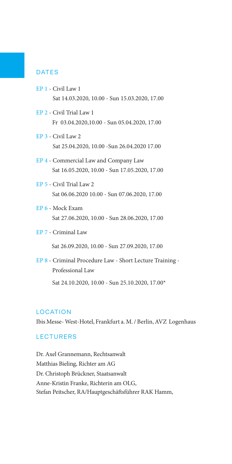## **DATES**

- EP 1 Civil Law 1 Sat 14.03.2020, 10.00 - Sun 15.03.2020, 17.00
- EP 2 Civil Trial Law 1 Fr 03.04.2020,10.00 - Sun 05.04.2020, 17.00
- EP 3 Civil Law 2 Sat 25.04.2020, 10.00 -Sun 26.04.2020 17.00
- EP 4 Commercial Law and Company Law Sat 16.05.2020, 10.00 - Sun 17.05.2020, 17.00
- EP 5 Civil Trial Law 2 Sat 06.06.2020 10.00 - Sun 07.06.2020, 17.00
- EP 6 Mock Exam Sat 27.06.2020, 10.00 - Sun 28.06.2020, 17.00
- EP 7 Criminal Law

Sat 26.09.2020, 10.00 - Sun 27.09.2020, 17.00

EP 8 - Criminal Procedure Law - Short Lecture Training - Professional Law Sat 24.10.2020, 10.00 - Sun 25.10.2020, 17.00\*

## LOCATION

Ibis Messe- West-Hotel, Frankfurt a. M. / Berlin, AVZ Logenhaus

## **LECTURERS**

Dr. Axel Grannemann, Rechtsanwalt Matthias Bieling, Richter am AG Dr. Christoph Brückner, Staatsanwalt Anne-Kristin Franke, Richterin am OLG, Stefan Peitscher, RA/Hauptgeschäftsführer RAK Hamm,